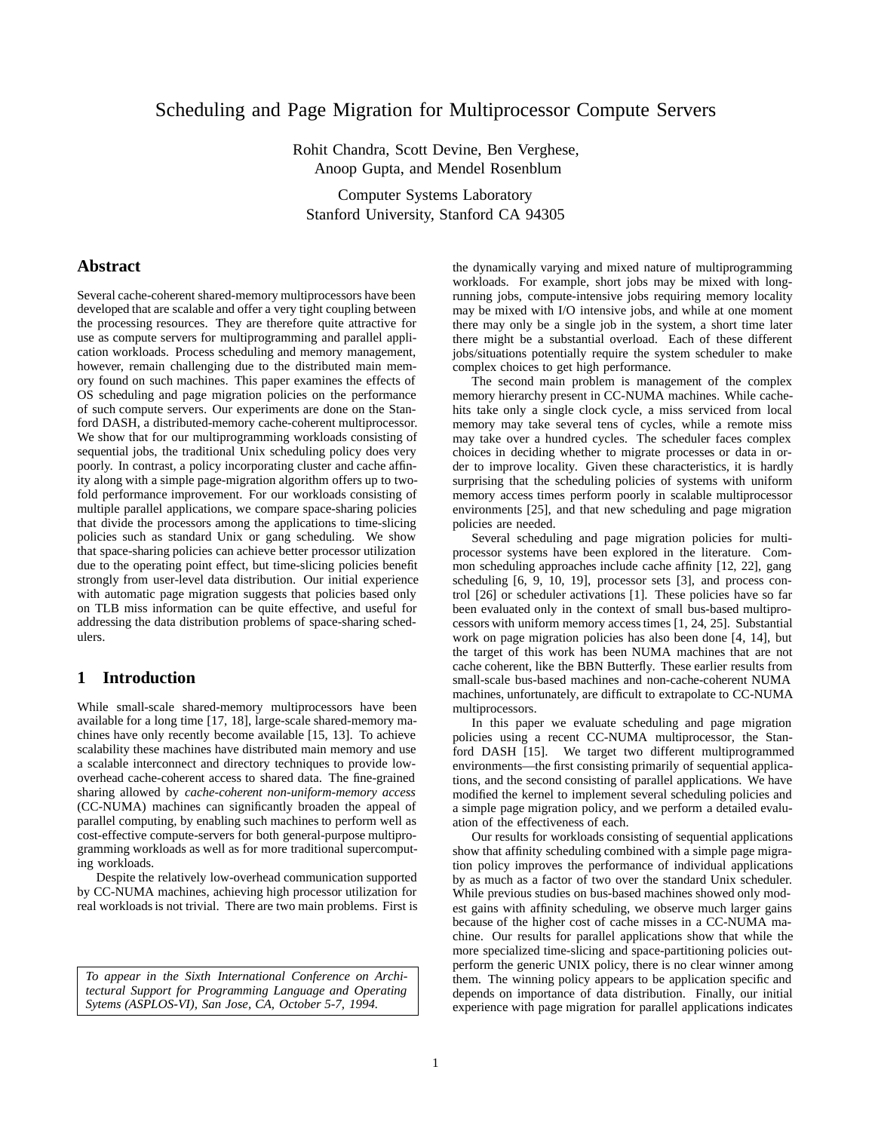# Scheduling and Page Migration for Multiprocessor Compute Servers

Rohit Chandra, Scott Devine, Ben Verghese, Anoop Gupta, and Mendel Rosenblum

Computer Systems Laboratory Stanford University, Stanford CA 94305

# **Abstract**

Several cache-coherent shared-memory multiprocessors have been developed that are scalable and offer a very tight coupling between the processing resources. They are therefore quite attractive for use as compute servers for multiprogramming and parallel application workloads. Process scheduling and memory management, however, remain challenging due to the distributed main memory found on such machines. This paper examines the effects of OS scheduling and page migration policies on the performance of such compute servers. Our experiments are done on the Stanford DASH, a distributed-memory cache-coherent multiprocessor. We show that for our multiprogramming workloads consisting of sequential jobs, the traditional Unix scheduling policy does very poorly. In contrast, a policy incorporating cluster and cache affinity along with a simple page-migration algorithm offers up to twofold performance improvement. For our workloads consisting of multiple parallel applications, we compare space-sharing policies that divide the processors among the applications to time-slicing policies such as standard Unix or gang scheduling. We show that space-sharing policies can achieve better processor utilization due to the operating point effect, but time-slicing policies benefit strongly from user-level data distribution. Our initial experience with automatic page migration suggests that policies based only on TLB miss information can be quite effective, and useful for addressing the data distribution problems of space-sharing schedulers.

## **1 Introduction**

While small-scale shared-memory multiprocessors have been available for a long time [17, 18], large-scale shared-memory machines have only recently become available [15, 13]. To achieve scalability these machines have distributed main memory and use a scalable interconnect and directory techniques to provide lowoverhead cache-coherent access to shared data. The fine-grained sharing allowed by *cache-coherent non-uniform-memory access* (CC-NUMA) machines can significantly broaden the appeal of parallel computing, by enabling such machines to perform well as cost-effective compute-servers for both general-purpose multiprogramming workloads as well as for more traditional supercomputing workloads.

Despite the relatively low-overhead communication supported by CC-NUMA machines, achieving high processor utilization for real workloads is not trivial. There are two main problems. First is

*To appear in the Sixth International Conference on Architectural Support for Programming Language and Operating Sytems (ASPLOS-VI), San Jose, CA, October 5-7, 1994.*

the dynamically varying and mixed nature of multiprogramming workloads. For example, short jobs may be mixed with longrunning jobs, compute-intensive jobs requiring memory locality may be mixed with I/O intensive jobs, and while at one moment there may only be a single job in the system, a short time later there might be a substantial overload. Each of these different jobs/situations potentially require the system scheduler to make complex choices to get high performance.

The second main problem is management of the complex memory hierarchy present in CC-NUMA machines. While cachehits take only a single clock cycle, a miss serviced from local memory may take several tens of cycles, while a remote miss may take over a hundred cycles. The scheduler faces complex choices in deciding whether to migrate processes or data in order to improve locality. Given these characteristics, it is hardly surprising that the scheduling policies of systems with uniform memory access times perform poorly in scalable multiprocessor environments [25], and that new scheduling and page migration policies are needed.

Several scheduling and page migration policies for multiprocessor systems have been explored in the literature. Common scheduling approaches include cache affinity [12, 22], gang scheduling [6, 9, 10, 19], processor sets [3], and process control [26] or scheduler activations [1]. These policies have so far been evaluated only in the context of small bus-based multiprocessors with uniform memory access times [1, 24, 25]. Substantial work on page migration policies has also been done [4, 14], but the target of this work has been NUMA machines that are not cache coherent, like the BBN Butterfly. These earlier results from small-scale bus-based machines and non-cache-coherent NUMA machines, unfortunately, are difficult to extrapolate to CC-NUMA multiprocessors.

In this paper we evaluate scheduling and page migration policies using a recent CC-NUMA multiprocessor, the Stanford DASH [15]. We target two different multiprogrammed environments—the first consisting primarily of sequential applications, and the second consisting of parallel applications. We have modified the kernel to implement several scheduling policies and a simple page migration policy, and we perform a detailed evaluation of the effectiveness of each.

Our results for workloads consisting of sequential applications show that affinity scheduling combined with a simple page migration policy improves the performance of individual applications by as much as a factor of two over the standard Unix scheduler. While previous studies on bus-based machines showed only modest gains with affinity scheduling, we observe much larger gains because of the higher cost of cache misses in a CC-NUMA machine. Our results for parallel applications show that while the more specialized time-slicing and space-partitioning policies outperform the generic UNIX policy, there is no clear winner among them. The winning policy appears to be application specific and depends on importance of data distribution. Finally, our initial experience with page migration for parallel applications indicates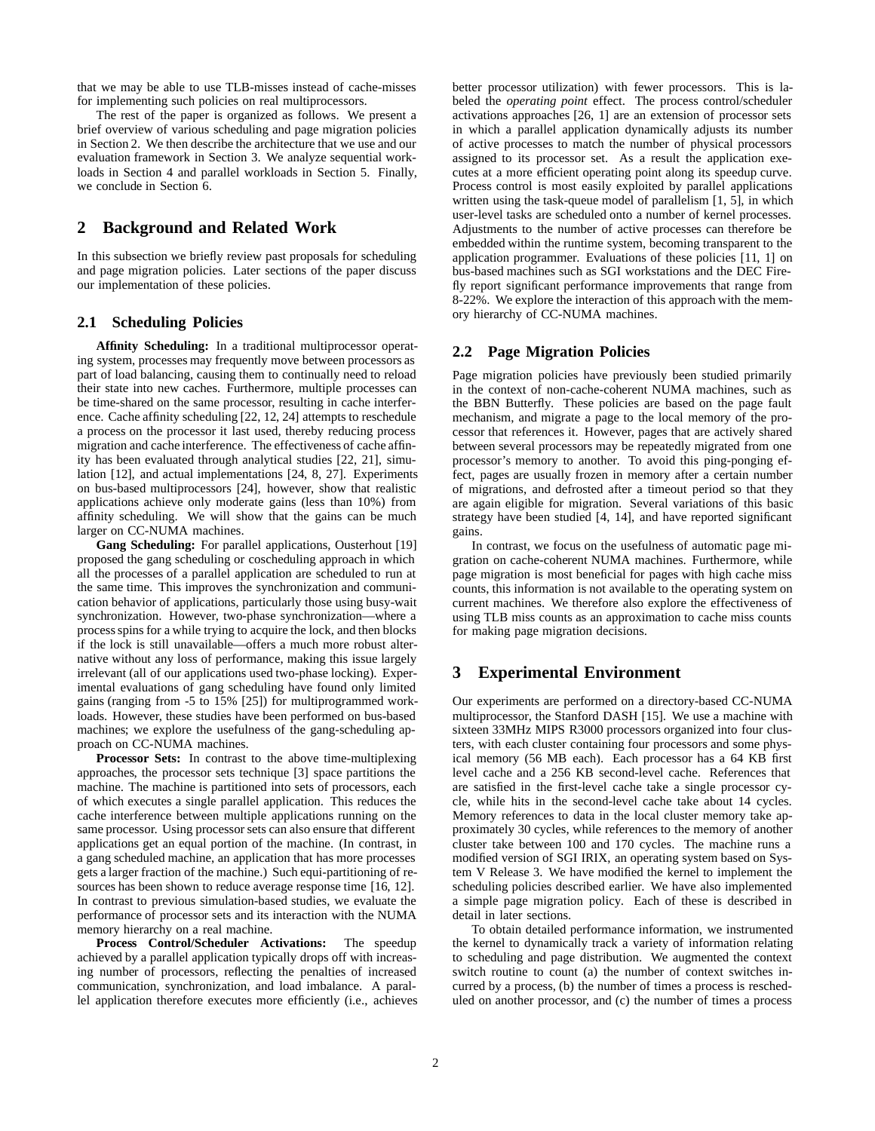that we may be able to use TLB-misses instead of cache-misses for implementing such policies on real multiprocessors.

The rest of the paper is organized as follows. We present a brief overview of various scheduling and page migration policies in Section 2. We then describe the architecture that we use and our evaluation framework in Section 3. We analyze sequential workloads in Section 4 and parallel workloads in Section 5. Finally, we conclude in Section 6.

# **2 Background and Related Work**

In this subsection we briefly review past proposals for scheduling and page migration policies. Later sections of the paper discuss our implementation of these policies.

### **2.1 Scheduling Policies**

**Affinity Scheduling:** In a traditional multiprocessor operating system, processes may frequently move between processors as part of load balancing, causing them to continually need to reload their state into new caches. Furthermore, multiple processes can be time-shared on the same processor, resulting in cache interference. Cache affinity scheduling [22, 12, 24] attempts to reschedule a process on the processor it last used, thereby reducing process migration and cache interference. The effectiveness of cache affinity has been evaluated through analytical studies [22, 21], simulation [12], and actual implementations [24, 8, 27]. Experiments on bus-based multiprocessors [24], however, show that realistic applications achieve only moderate gains (less than 10%) from affinity scheduling. We will show that the gains can be much larger on CC-NUMA machines.

**Gang Scheduling:** For parallel applications, Ousterhout [19] proposed the gang scheduling or coscheduling approach in which all the processes of a parallel application are scheduled to run at the same time. This improves the synchronization and communication behavior of applications, particularly those using busy-wait synchronization. However, two-phase synchronization—where a process spins for a while trying to acquire the lock, and then blocks if the lock is still unavailable—offers a much more robust alternative without any loss of performance, making this issue largely irrelevant (all of our applications used two-phase locking). Experimental evaluations of gang scheduling have found only limited gains (ranging from -5 to 15% [25]) for multiprogrammed workloads. However, these studies have been performed on bus-based machines; we explore the usefulness of the gang-scheduling approach on CC-NUMA machines.

**Processor Sets:** In contrast to the above time-multiplexing approaches, the processor sets technique [3] space partitions the machine. The machine is partitioned into sets of processors, each of which executes a single parallel application. This reduces the cache interference between multiple applications running on the same processor. Using processor sets can also ensure that different applications get an equal portion of the machine. (In contrast, in a gang scheduled machine, an application that has more processes gets a larger fraction of the machine.) Such equi-partitioning of resources has been shown to reduce average response time [16, 12]. In contrast to previous simulation-based studies, we evaluate the performance of processor sets and its interaction with the NUMA memory hierarchy on a real machine.

**Process Control/Scheduler Activations:** The speedup achieved by a parallel application typically drops off with increasing number of processors, reflecting the penalties of increased communication, synchronization, and load imbalance. A parallel application therefore executes more efficiently (i.e., achieves better processor utilization) with fewer processors. This is labeled the *operating point* effect. The process control/scheduler activations approaches [26, 1] are an extension of processor sets in which a parallel application dynamically adjusts its number of active processes to match the number of physical processors assigned to its processor set. As a result the application executes at a more efficient operating point along its speedup curve. Process control is most easily exploited by parallel applications written using the task-queue model of parallelism [1, 5], in which user-level tasks are scheduled onto a number of kernel processes. Adjustments to the number of active processes can therefore be embedded within the runtime system, becoming transparent to the application programmer. Evaluations of these policies [11, 1] on bus-based machines such as SGI workstations and the DEC Firefly report significant performance improvements that range from 8-22%. We explore the interaction of this approach with the memory hierarchy of CC-NUMA machines.

### **2.2 Page Migration Policies**

Page migration policies have previously been studied primarily in the context of non-cache-coherent NUMA machines, such as the BBN Butterfly. These policies are based on the page fault mechanism, and migrate a page to the local memory of the processor that references it. However, pages that are actively shared between several processors may be repeatedly migrated from one processor's memory to another. To avoid this ping-ponging effect, pages are usually frozen in memory after a certain number of migrations, and defrosted after a timeout period so that they are again eligible for migration. Several variations of this basic strategy have been studied [4, 14], and have reported significant gains.

In contrast, we focus on the usefulness of automatic page migration on cache-coherent NUMA machines. Furthermore, while page migration is most beneficial for pages with high cache miss counts, this information is not available to the operating system on current machines. We therefore also explore the effectiveness of using TLB miss counts as an approximation to cache miss counts for making page migration decisions.

# **3 Experimental Environment**

Our experiments are performed on a directory-based CC-NUMA multiprocessor, the Stanford DASH [15]. We use a machine with sixteen 33MHz MIPS R3000 processors organized into four clusters, with each cluster containing four processors and some physical memory (56 MB each). Each processor has a 64 KB first level cache and a 256 KB second-level cache. References that are satisfied in the first-level cache take a single processor cycle, while hits in the second-level cache take about 14 cycles. Memory references to data in the local cluster memory take approximately 30 cycles, while references to the memory of another cluster take between 100 and 170 cycles. The machine runs a modified version of SGI IRIX, an operating system based on System V Release 3. We have modified the kernel to implement the scheduling policies described earlier. We have also implemented a simple page migration policy. Each of these is described in detail in later sections.

To obtain detailed performance information, we instrumented the kernel to dynamically track a variety of information relating to scheduling and page distribution. We augmented the context switch routine to count (a) the number of context switches incurred by a process, (b) the number of times a process is rescheduled on another processor, and (c) the number of times a process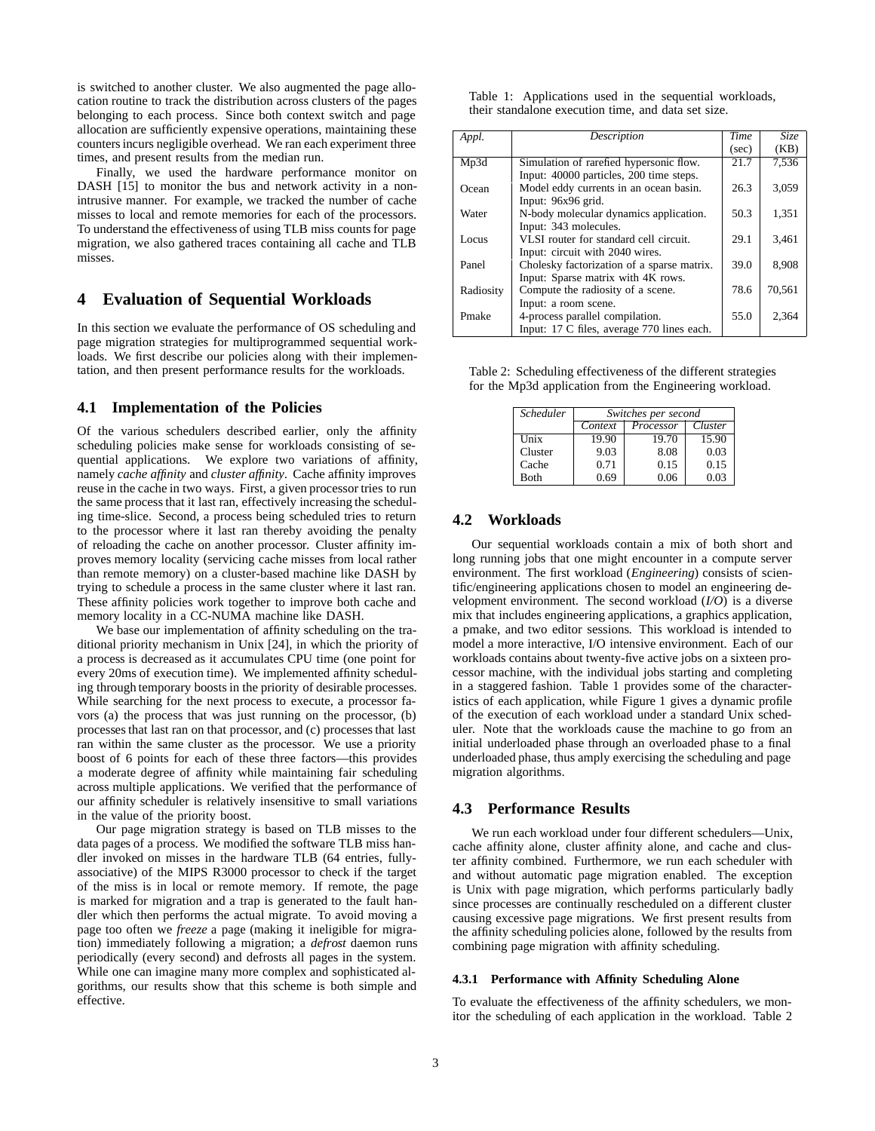is switched to another cluster. We also augmented the page allocation routine to track the distribution across clusters of the pages belonging to each process. Since both context switch and page allocation are sufficiently expensive operations, maintaining these counters incurs negligible overhead. We ran each experiment three times, and present results from the median run.

Finally, we used the hardware performance monitor on DASH [15] to monitor the bus and network activity in a nonintrusive manner. For example, we tracked the number of cache misses to local and remote memories for each of the processors. To understand the effectiveness of using TLB miss counts for page migration, we also gathered traces containing all cache and TLB misses.

# **4 Evaluation of Sequential Workloads**

In this section we evaluate the performance of OS scheduling and page migration strategies for multiprogrammed sequential workloads. We first describe our policies along with their implementation, and then present performance results for the workloads.

### **4.1 Implementation of the Policies**

Of the various schedulers described earlier, only the affinity scheduling policies make sense for workloads consisting of sequential applications. We explore two variations of affinity, namely *cache affinity* and *cluster affinity*. Cache affinity improves reuse in the cache in two ways. First, a given processor tries to run the same process that it last ran, effectively increasing the scheduling time-slice. Second, a process being scheduled tries to return to the processor where it last ran thereby avoiding the penalty of reloading the cache on another processor. Cluster affinity improves memory locality (servicing cache misses from local rather than remote memory) on a cluster-based machine like DASH by trying to schedule a process in the same cluster where it last ran. These affinity policies work together to improve both cache and memory locality in a CC-NUMA machine like DASH.

We base our implementation of affinity scheduling on the traditional priority mechanism in Unix [24], in which the priority of a process is decreased as it accumulates CPU time (one point for every 20ms of execution time). We implemented affinity scheduling through temporary boosts in the priority of desirable processes. While searching for the next process to execute, a processor favors (a) the process that was just running on the processor, (b) processes that last ran on that processor, and (c) processes that last ran within the same cluster as the processor. We use a priority boost of 6 points for each of these three factors—this provides a moderate degree of affinity while maintaining fair scheduling across multiple applications. We verified that the performance of our affinity scheduler is relatively insensitive to small variations in the value of the priority boost.

Our page migration strategy is based on TLB misses to the data pages of a process. We modified the software TLB miss handler invoked on misses in the hardware TLB (64 entries, fullyassociative) of the MIPS R3000 processor to check if the target of the miss is in local or remote memory. If remote, the page is marked for migration and a trap is generated to the fault handler which then performs the actual migrate. To avoid moving a page too often we *freeze* a page (making it ineligible for migration) immediately following a migration; a *defrost* daemon runs periodically (every second) and defrosts all pages in the system. While one can imagine many more complex and sophisticated algorithms, our results show that this scheme is both simple and effective.

|  |  |  |                                                     | Table 1: Applications used in the sequential workloads, |
|--|--|--|-----------------------------------------------------|---------------------------------------------------------|
|  |  |  | their standalone execution time, and data set size. |                                                         |

| Appl.     | Description                                | Time  | <i>Size</i> |
|-----------|--------------------------------------------|-------|-------------|
|           |                                            | (sec) | (KB)        |
| Mp3d      | Simulation of rarefied hypersonic flow.    | 21.7  | 7,536       |
|           | Input: 40000 particles, 200 time steps.    |       |             |
| Ocean     | Model eddy currents in an ocean basin.     | 26.3  | 3,059       |
|           | Input: 96x96 grid.                         |       |             |
| Water     | N-body molecular dynamics application.     | 50.3  | 1,351       |
|           | Input: 343 molecules.                      |       |             |
| Locus     | VLSI router for standard cell circuit.     | 29.1  | 3,461       |
|           | Input: circuit with 2040 wires.            |       |             |
| Panel     | Cholesky factorization of a sparse matrix. | 39.0  | 8.908       |
|           | Input: Sparse matrix with 4K rows.         |       |             |
| Radiosity | Compute the radiosity of a scene.          | 78.6  | 70.561      |
|           | Input: a room scene.                       |       |             |
| Pmake     | 4-process parallel compilation.            | 55.0  | 2.364       |
|           | Input: 17 C files, average 770 lines each. |       |             |

Table 2: Scheduling effectiveness of the different strategies for the Mp3d application from the Engineering workload.

| <b>Scheduler</b> | Switches per second |           |         |  |  |  |
|------------------|---------------------|-----------|---------|--|--|--|
|                  | Context             | Processor | Cluster |  |  |  |
| Unix             | 19.90               | 19.70     | 15.90   |  |  |  |
| Cluster          | 9.03                | 8.08      | 0.03    |  |  |  |
| Cache            | 0.71                | 0.15      | 0.15    |  |  |  |
| <b>B</b> oth     | 0.69                | 0.06      | 0.03    |  |  |  |

### **4.2 Workloads**

Our sequential workloads contain a mix of both short and long running jobs that one might encounter in a compute server environment. The first workload (*Engineering*) consists of scientific/engineering applications chosen to model an engineering development environment. The second workload (*I/O*) is a diverse mix that includes engineering applications, a graphics application, a pmake, and two editor sessions. This workload is intended to model a more interactive, I/O intensive environment. Each of our workloads contains about twenty-five active jobs on a sixteen processor machine, with the individual jobs starting and completing in a staggered fashion. Table 1 provides some of the characteristics of each application, while Figure 1 gives a dynamic profile of the execution of each workload under a standard Unix scheduler. Note that the workloads cause the machine to go from an initial underloaded phase through an overloaded phase to a final underloaded phase, thus amply exercising the scheduling and page migration algorithms.

#### **4.3 Performance Results**

We run each workload under four different schedulers—Unix, cache affinity alone, cluster affinity alone, and cache and cluster affinity combined. Furthermore, we run each scheduler with and without automatic page migration enabled. The exception is Unix with page migration, which performs particularly badly since processes are continually rescheduled on a different cluster causing excessive page migrations. We first present results from the affinity scheduling policies alone, followed by the results from combining page migration with affinity scheduling.

#### **4.3.1 Performance with Affinity Scheduling Alone**

To evaluate the effectiveness of the affinity schedulers, we monitor the scheduling of each application in the workload. Table 2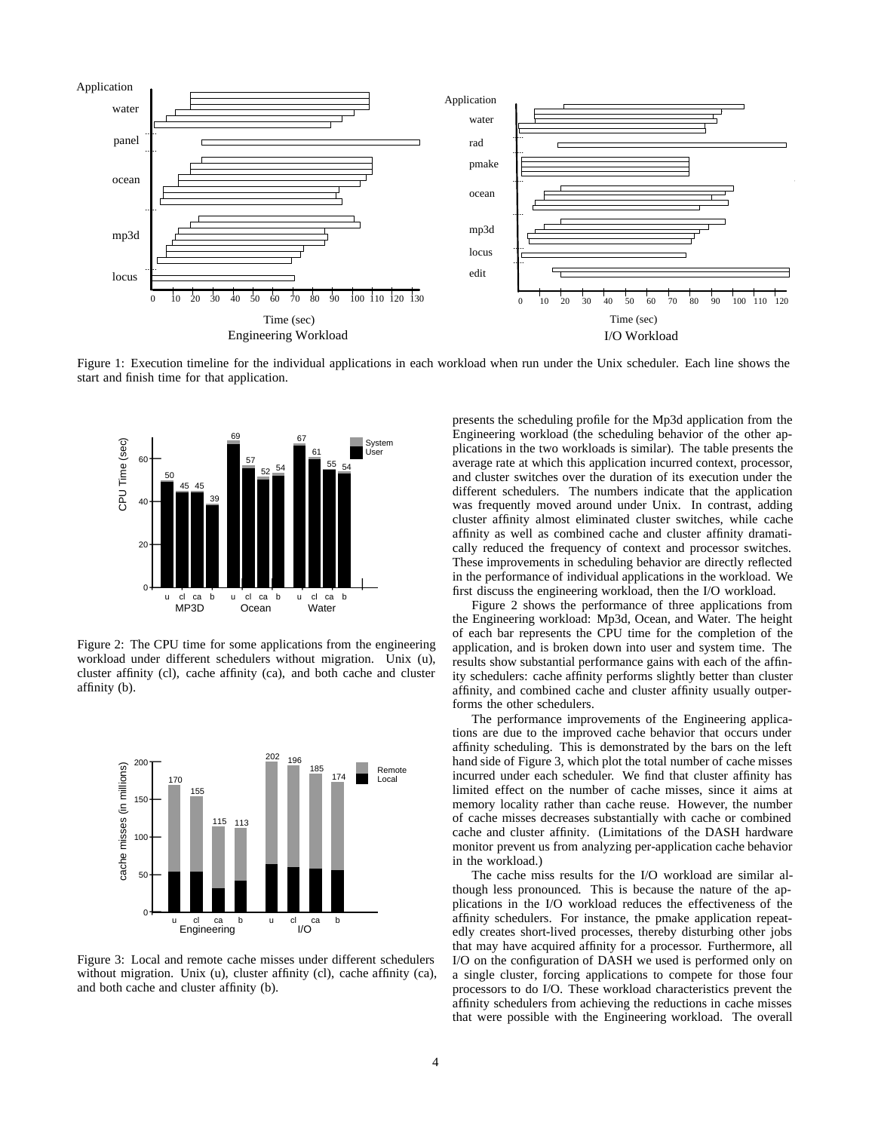

Figure 1: Execution timeline for the individual applications in each workload when run under the Unix scheduler. Each line shows the start and finish time for that application.



Figure 2: The CPU time for some applications from the engineering workload under different schedulers without migration. Unix (u), cluster affinity (cl), cache affinity (ca), and both cache and cluster affinity (b).



Figure 3: Local and remote cache misses under different schedulers without migration. Unix (u), cluster affinity (cl), cache affinity (ca), and both cache and cluster affinity (b).

presents the scheduling profile for the Mp3d application from the Engineering workload (the scheduling behavior of the other applications in the two workloads is similar). The table presents the average rate at which this application incurred context, processor, and cluster switches over the duration of its execution under the different schedulers. The numbers indicate that the application was frequently moved around under Unix. In contrast, adding cluster affinity almost eliminated cluster switches, while cache affinity as well as combined cache and cluster affinity dramatically reduced the frequency of context and processor switches. These improvements in scheduling behavior are directly reflected in the performance of individual applications in the workload. We first discuss the engineering workload, then the I/O workload.

Figure 2 shows the performance of three applications from the Engineering workload: Mp3d, Ocean, and Water. The height of each bar represents the CPU time for the completion of the application, and is broken down into user and system time. The results show substantial performance gains with each of the affinity schedulers: cache affinity performs slightly better than cluster affinity, and combined cache and cluster affinity usually outperforms the other schedulers.

The performance improvements of the Engineering applications are due to the improved cache behavior that occurs under affinity scheduling. This is demonstrated by the bars on the left hand side of Figure 3, which plot the total number of cache misses incurred under each scheduler. We find that cluster affinity has limited effect on the number of cache misses, since it aims at memory locality rather than cache reuse. However, the number of cache misses decreases substantially with cache or combined cache and cluster affinity. (Limitations of the DASH hardware monitor prevent us from analyzing per-application cache behavior in the workload.)

The cache miss results for the I/O workload are similar although less pronounced. This is because the nature of the applications in the I/O workload reduces the effectiveness of the affinity schedulers. For instance, the pmake application repeatedly creates short-lived processes, thereby disturbing other jobs that may have acquired affinity for a processor. Furthermore, all I/O on the configuration of DASH we used is performed only on a single cluster, forcing applications to compete for those four processors to do I/O. These workload characteristics prevent the affinity schedulers from achieving the reductions in cache misses that were possible with the Engineering workload. The overall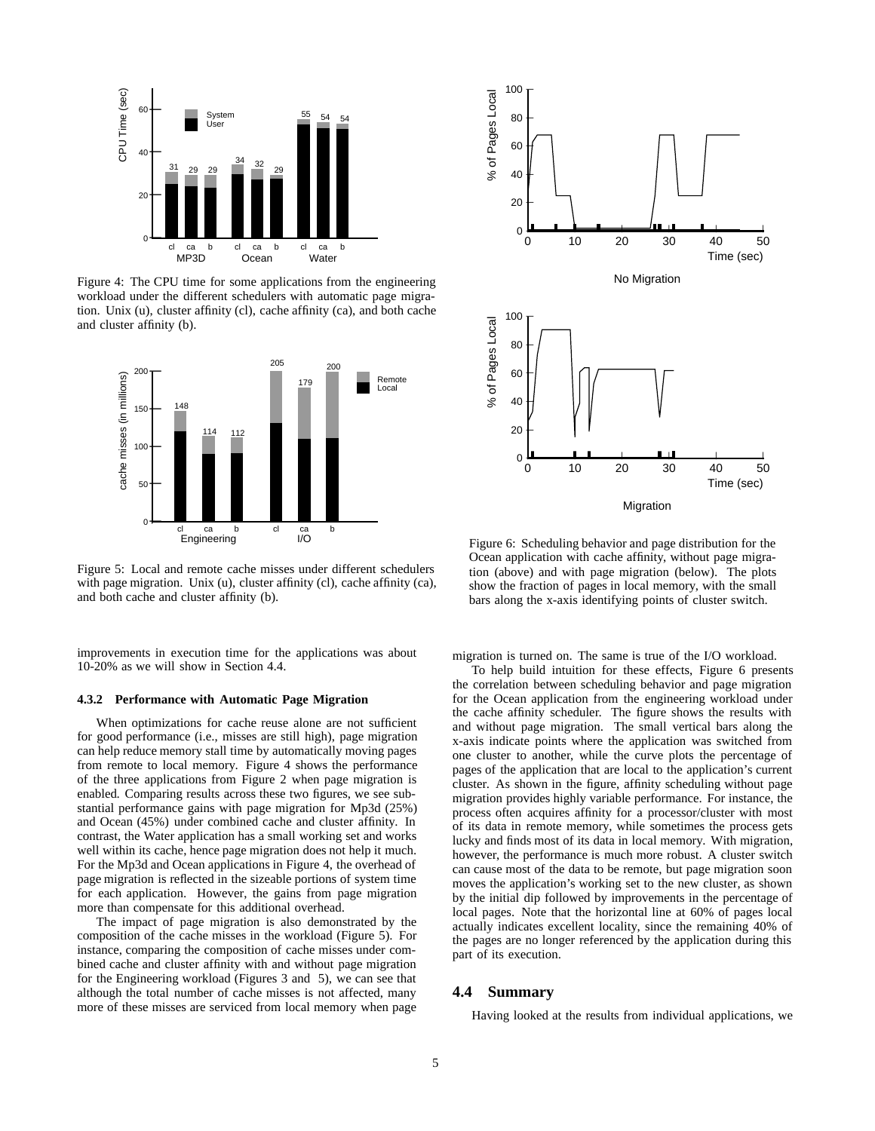

Figure 4: The CPU time for some applications from the engineering workload under the different schedulers with automatic page migration. Unix (u), cluster affinity (cl), cache affinity (ca), and both cache and cluster affinity (b).



Figure 5: Local and remote cache misses under different schedulers with page migration. Unix (u), cluster affinity (cl), cache affinity (ca), and both cache and cluster affinity (b).

improvements in execution time for the applications was about 10-20% as we will show in Section 4.4.

#### **4.3.2 Performance with Automatic Page Migration**

When optimizations for cache reuse alone are not sufficient for good performance (i.e., misses are still high), page migration can help reduce memory stall time by automatically moving pages from remote to local memory. Figure 4 shows the performance of the three applications from Figure 2 when page migration is enabled. Comparing results across these two figures, we see substantial performance gains with page migration for Mp3d (25%) and Ocean (45%) under combined cache and cluster affinity. In contrast, the Water application has a small working set and works well within its cache, hence page migration does not help it much. For the Mp3d and Ocean applications in Figure 4, the overhead of page migration is reflected in the sizeable portions of system time for each application. However, the gains from page migration more than compensate for this additional overhead.

The impact of page migration is also demonstrated by the composition of the cache misses in the workload (Figure 5). For instance, comparing the composition of cache misses under combined cache and cluster affinity with and without page migration for the Engineering workload (Figures 3 and 5), we can see that although the total number of cache misses is not affected, many more of these misses are serviced from local memory when page



Figure 6: Scheduling behavior and page distribution for the Ocean application with cache affinity, without page migration (above) and with page migration (below). The plots show the fraction of pages in local memory, with the small bars along the x-axis identifying points of cluster switch.

migration is turned on. The same is true of the I/O workload.

To help build intuition for these effects, Figure 6 presents the correlation between scheduling behavior and page migration for the Ocean application from the engineering workload under the cache affinity scheduler. The figure shows the results with and without page migration. The small vertical bars along the x-axis indicate points where the application was switched from one cluster to another, while the curve plots the percentage of pages of the application that are local to the application's current cluster. As shown in the figure, affinity scheduling without page migration provides highly variable performance. For instance, the process often acquires affinity for a processor/cluster with most of its data in remote memory, while sometimes the process gets lucky and finds most of its data in local memory. With migration, however, the performance is much more robust. A cluster switch can cause most of the data to be remote, but page migration soon moves the application's working set to the new cluster, as shown by the initial dip followed by improvements in the percentage of local pages. Note that the horizontal line at 60% of pages local actually indicates excellent locality, since the remaining 40% of the pages are no longer referenced by the application during this part of its execution.

### **4.4 Summary**

Having looked at the results from individual applications, we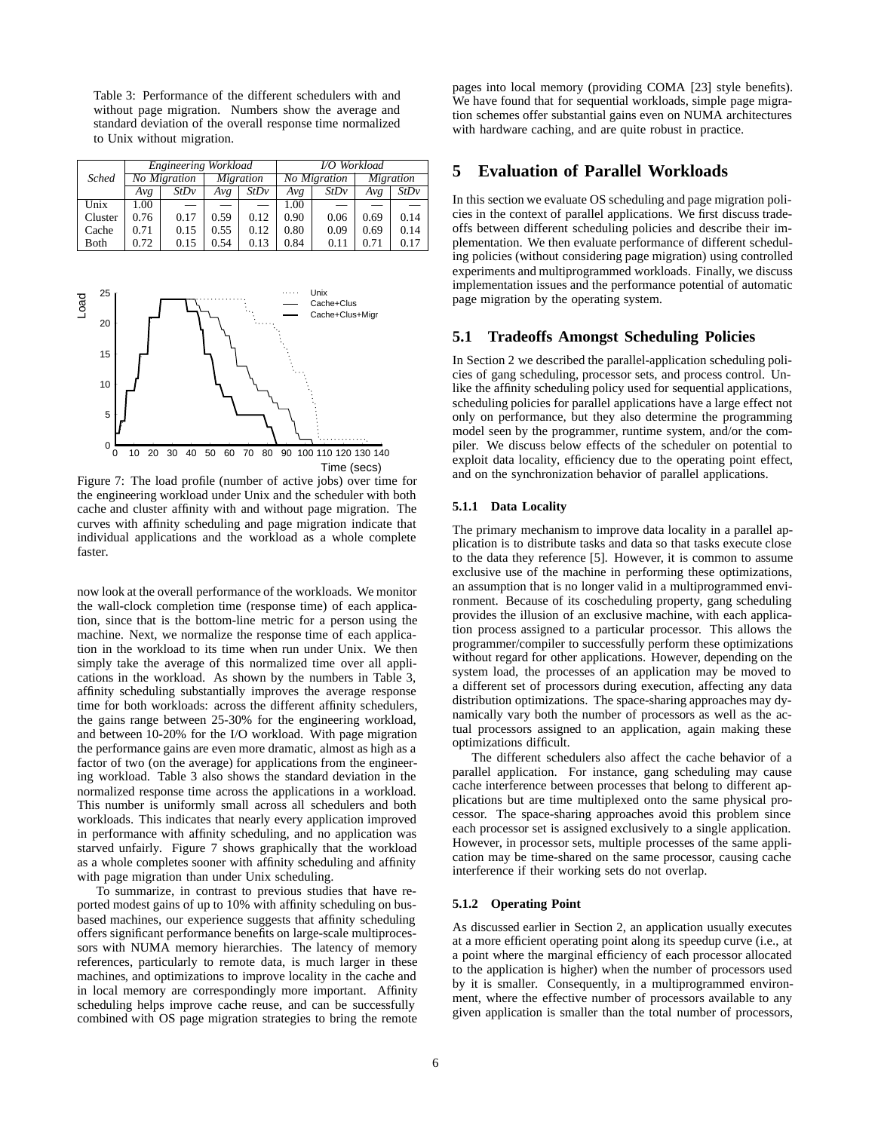Table 3: Performance of the different schedulers with and without page migration. Numbers show the average and standard deviation of the overall response time normalized to Unix without migration.

|         | Engineering Workload |      |                  |      | I/O Workload |      |                  |      |
|---------|----------------------|------|------------------|------|--------------|------|------------------|------|
| Sched   | No Migration         |      | <i>Migration</i> |      | No Migration |      | <b>Migration</b> |      |
|         | Avg                  | StDv | Avg              | StDv | Avg          | StDv | Avg              | StDv |
| Unix    | 1.00                 |      |                  |      | 1.00         |      |                  |      |
| Cluster | 0.76                 | 0.17 | 0.59             | 0.12 | 0.90         | 0.06 | 0.69             | 0.14 |
| Cache   | 0.71                 | 0.15 | 0.55             | 0.12 | 0.80         | 0.09 | 0.69             | 0.14 |
| Both    | 0.72                 | 0.15 | 0.54             | 0.13 | 0.84         | 0.11 | 0.71             | 0.17 |



Figure 7: The load profile (number of active jobs) over time for the engineering workload under Unix and the scheduler with both cache and cluster affinity with and without page migration. The curves with affinity scheduling and page migration indicate that individual applications and the workload as a whole complete faster.

now look at the overall performance of the workloads. We monitor the wall-clock completion time (response time) of each application, since that is the bottom-line metric for a person using the machine. Next, we normalize the response time of each application in the workload to its time when run under Unix. We then simply take the average of this normalized time over all applications in the workload. As shown by the numbers in Table 3, affinity scheduling substantially improves the average response time for both workloads: across the different affinity schedulers, the gains range between 25-30% for the engineering workload, and between 10-20% for the I/O workload. With page migration the performance gains are even more dramatic, almost as high as a factor of two (on the average) for applications from the engineering workload. Table 3 also shows the standard deviation in the normalized response time across the applications in a workload. This number is uniformly small across all schedulers and both workloads. This indicates that nearly every application improved in performance with affinity scheduling, and no application was starved unfairly. Figure 7 shows graphically that the workload as a whole completes sooner with affinity scheduling and affinity with page migration than under Unix scheduling.

To summarize, in contrast to previous studies that have reported modest gains of up to 10% with affinity scheduling on busbased machines, our experience suggests that affinity scheduling offers significant performance benefits on large-scale multiprocessors with NUMA memory hierarchies. The latency of memory references, particularly to remote data, is much larger in these machines, and optimizations to improve locality in the cache and in local memory are correspondingly more important. Affinity scheduling helps improve cache reuse, and can be successfully combined with OS page migration strategies to bring the remote

pages into local memory (providing COMA [23] style benefits). We have found that for sequential workloads, simple page migration schemes offer substantial gains even on NUMA architectures with hardware caching, and are quite robust in practice.

# **5 Evaluation of Parallel Workloads**

In this section we evaluate OS scheduling and page migration policies in the context of parallel applications. We first discuss tradeoffs between different scheduling policies and describe their implementation. We then evaluate performance of different scheduling policies (without considering page migration) using controlled experiments and multiprogrammed workloads. Finally, we discuss implementation issues and the performance potential of automatic page migration by the operating system.

### **5.1 Tradeoffs Amongst Scheduling Policies**

In Section 2 we described the parallel-application scheduling policies of gang scheduling, processor sets, and process control. Unlike the affinity scheduling policy used for sequential applications, scheduling policies for parallel applications have a large effect not only on performance, but they also determine the programming model seen by the programmer, runtime system, and/or the compiler. We discuss below effects of the scheduler on potential to exploit data locality, efficiency due to the operating point effect, and on the synchronization behavior of parallel applications.

#### **5.1.1 Data Locality**

The primary mechanism to improve data locality in a parallel application is to distribute tasks and data so that tasks execute close to the data they reference [5]. However, it is common to assume exclusive use of the machine in performing these optimizations, an assumption that is no longer valid in a multiprogrammed environment. Because of its coscheduling property, gang scheduling provides the illusion of an exclusive machine, with each application process assigned to a particular processor. This allows the programmer/compiler to successfully perform these optimizations without regard for other applications. However, depending on the system load, the processes of an application may be moved to a different set of processors during execution, affecting any data distribution optimizations. The space-sharing approaches may dynamically vary both the number of processors as well as the actual processors assigned to an application, again making these optimizations difficult.

The different schedulers also affect the cache behavior of a parallel application. For instance, gang scheduling may cause cache interference between processes that belong to different applications but are time multiplexed onto the same physical processor. The space-sharing approaches avoid this problem since each processor set is assigned exclusively to a single application. However, in processor sets, multiple processes of the same application may be time-shared on the same processor, causing cache interference if their working sets do not overlap.

#### **5.1.2 Operating Point**

As discussed earlier in Section 2, an application usually executes at a more efficient operating point along its speedup curve (i.e., at a point where the marginal efficiency of each processor allocated to the application is higher) when the number of processors used by it is smaller. Consequently, in a multiprogrammed environment, where the effective number of processors available to any given application is smaller than the total number of processors,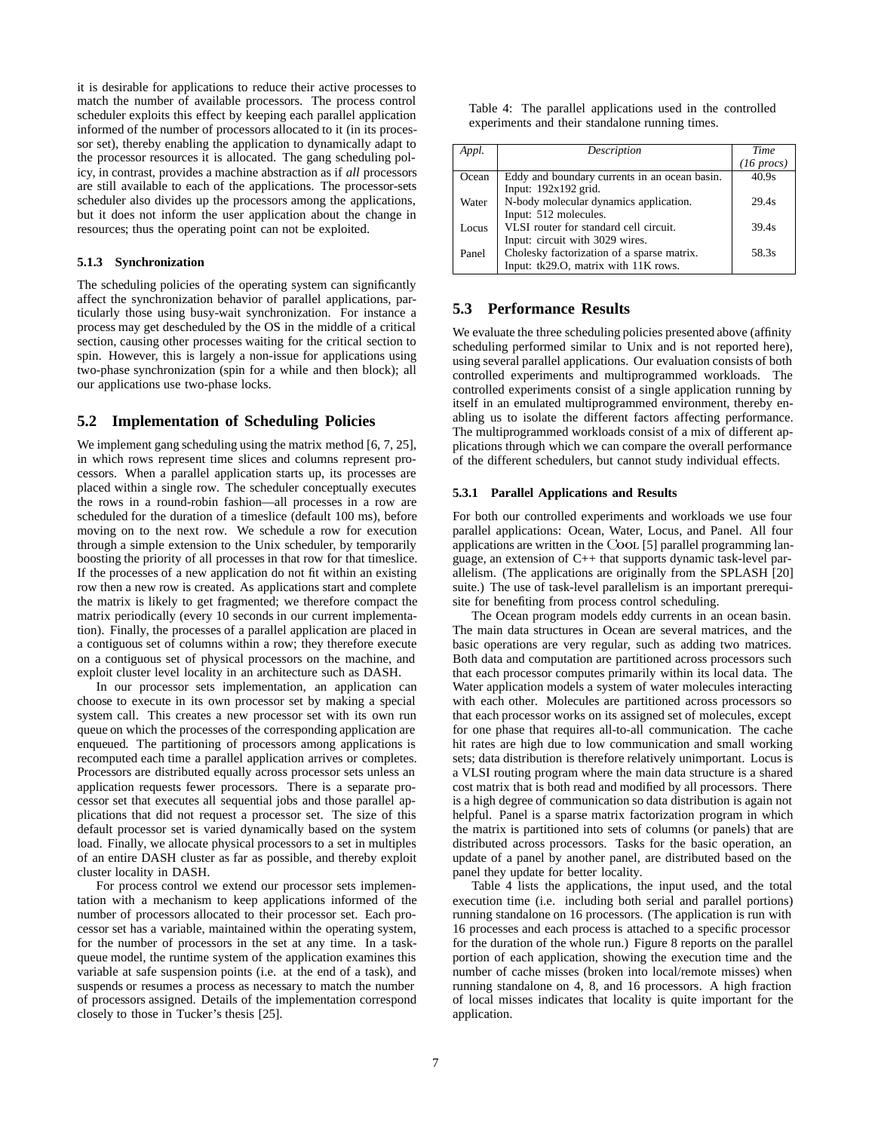it is desirable for applications to reduce their active processes to match the number of available processors. The process control scheduler exploits this effect by keeping each parallel application informed of the number of processors allocated to it (in its processor set), thereby enabling the application to dynamically adapt to the processor resources it is allocated. The gang scheduling policy, in contrast, provides a machine abstraction as if *all* processors are still available to each of the applications. The processor-sets scheduler also divides up the processors among the applications, but it does not inform the user application about the change in resources; thus the operating point can not be exploited.

#### **5.1.3 Synchronization**

The scheduling policies of the operating system can significantly affect the synchronization behavior of parallel applications, particularly those using busy-wait synchronization. For instance a process may get descheduled by the OS in the middle of a critical section, causing other processes waiting for the critical section to spin. However, this is largely a non-issue for applications using two-phase synchronization (spin for a while and then block); all our applications use two-phase locks.

### **5.2 Implementation of Scheduling Policies**

We implement gang scheduling using the matrix method [6, 7, 25], in which rows represent time slices and columns represent processors. When a parallel application starts up, its processes are placed within a single row. The scheduler conceptually executes the rows in a round-robin fashion—all processes in a row are scheduled for the duration of a timeslice (default 100 ms), before moving on to the next row. We schedule a row for execution through a simple extension to the Unix scheduler, by temporarily boosting the priority of all processes in that row for that timeslice. If the processes of a new application do not fit within an existing row then a new row is created. As applications start and complete the matrix is likely to get fragmented; we therefore compact the matrix periodically (every 10 seconds in our current implementation). Finally, the processes of a parallel application are placed in a contiguous set of columns within a row; they therefore execute on a contiguous set of physical processors on the machine, and exploit cluster level locality in an architecture such as DASH.

In our processor sets implementation, an application can choose to execute in its own processor set by making a special system call. This creates a new processor set with its own run queue on which the processes of the corresponding application are enqueued. The partitioning of processors among applications is recomputed each time a parallel application arrives or completes. Processors are distributed equally across processor sets unless an application requests fewer processors. There is a separate processor set that executes all sequential jobs and those parallel applications that did not request a processor set. The size of this default processor set is varied dynamically based on the system load. Finally, we allocate physical processors to a set in multiples of an entire DASH cluster as far as possible, and thereby exploit cluster locality in DASH.

For process control we extend our processor sets implementation with a mechanism to keep applications informed of the number of processors allocated to their processor set. Each processor set has a variable, maintained within the operating system, for the number of processors in the set at any time. In a taskqueue model, the runtime system of the application examines this variable at safe suspension points (i.e. at the end of a task), and suspends or resumes a process as necessary to match the number of processors assigned. Details of the implementation correspond closely to those in Tucker's thesis [25].

Table 4: The parallel applications used in the controlled experiments and their standalone running times.

| Appl. | Description                                   | Time                 |
|-------|-----------------------------------------------|----------------------|
|       |                                               | $(16 \text{ procs})$ |
| Ocean | Eddy and boundary currents in an ocean basin. | 40.9s                |
|       | Input: 192x192 grid.                          |                      |
| Water | N-body molecular dynamics application.        | 29.4s                |
|       | Input: 512 molecules.                         |                      |
| Locus | VLSI router for standard cell circuit.        | 39.4s                |
|       | Input: circuit with 3029 wires.               |                      |
| Panel | Cholesky factorization of a sparse matrix.    | 58.3s                |
|       | Input: tk29.O, matrix with 11K rows.          |                      |

### **5.3 Performance Results**

We evaluate the three scheduling policies presented above (affinity scheduling performed similar to Unix and is not reported here), using several parallel applications. Our evaluation consists of both controlled experiments and multiprogrammed workloads. The controlled experiments consist of a single application running by itself in an emulated multiprogrammed environment, thereby enabling us to isolate the different factors affecting performance. The multiprogrammed workloads consist of a mix of different applications through which we can compare the overall performance of the different schedulers, but cannot study individual effects.

### **5.3.1 Parallel Applications and Results**

For both our controlled experiments and workloads we use four parallel applications: Ocean, Water, Locus, and Panel. All four applications are written in the  $Cool [5]$  parallel programming language, an extension of C++ that supports dynamic task-level parallelism. (The applications are originally from the SPLASH [20] suite.) The use of task-level parallelism is an important prerequisite for benefiting from process control scheduling.

The Ocean program models eddy currents in an ocean basin. The main data structures in Ocean are several matrices, and the basic operations are very regular, such as adding two matrices. Both data and computation are partitioned across processors such that each processor computes primarily within its local data. The Water application models a system of water molecules interacting with each other. Molecules are partitioned across processors so that each processor works on its assigned set of molecules, except for one phase that requires all-to-all communication. The cache hit rates are high due to low communication and small working sets; data distribution is therefore relatively unimportant. Locus is a VLSI routing program where the main data structure is a shared cost matrix that is both read and modified by all processors. There is a high degree of communication so data distribution is again not helpful. Panel is a sparse matrix factorization program in which the matrix is partitioned into sets of columns (or panels) that are distributed across processors. Tasks for the basic operation, an update of a panel by another panel, are distributed based on the panel they update for better locality.

Table 4 lists the applications, the input used, and the total execution time (i.e. including both serial and parallel portions) running standalone on 16 processors. (The application is run with 16 processes and each process is attached to a specific processor for the duration of the whole run.) Figure 8 reports on the parallel portion of each application, showing the execution time and the number of cache misses (broken into local/remote misses) when running standalone on 4, 8, and 16 processors. A high fraction of local misses indicates that locality is quite important for the application.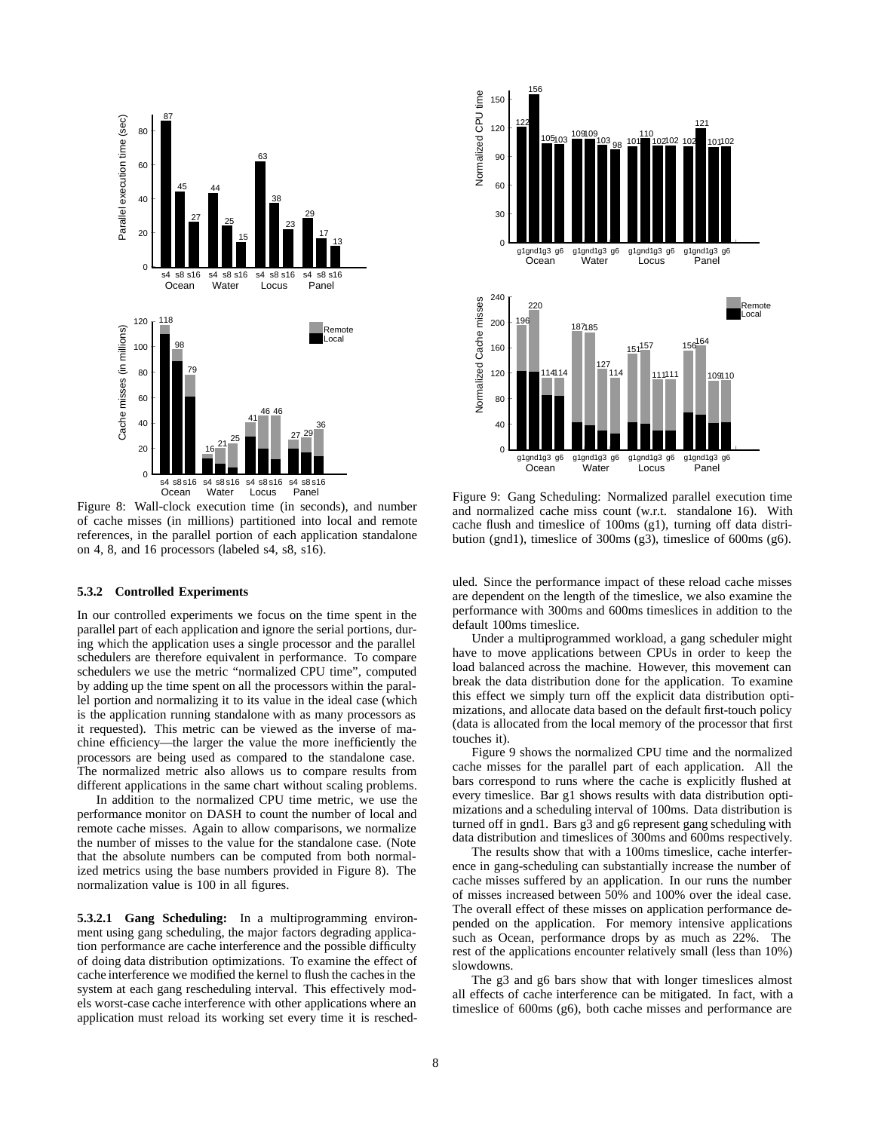

Figure 8: Wall-clock execution time (in seconds), and number of cache misses (in millions) partitioned into local and remote references, in the parallel portion of each application standalone on 4, 8, and 16 processors (labeled s4, s8, s16).

#### **5.3.2 Controlled Experiments**

In our controlled experiments we focus on the time spent in the parallel part of each application and ignore the serial portions, during which the application uses a single processor and the parallel schedulers are therefore equivalent in performance. To compare schedulers we use the metric "normalized CPU time", computed by adding up the time spent on all the processors within the parallel portion and normalizing it to its value in the ideal case (which is the application running standalone with as many processors as it requested). This metric can be viewed as the inverse of machine efficiency—the larger the value the more inefficiently the processors are being used as compared to the standalone case. The normalized metric also allows us to compare results from different applications in the same chart without scaling problems.

In addition to the normalized CPU time metric, we use the performance monitor on DASH to count the number of local and remote cache misses. Again to allow comparisons, we normalize the number of misses to the value for the standalone case. (Note that the absolute numbers can be computed from both normalized metrics using the base numbers provided in Figure 8). The normalization value is 100 in all figures.

**5.3.2.1 Gang Scheduling:** In a multiprogramming environment using gang scheduling, the major factors degrading application performance are cache interference and the possible difficulty of doing data distribution optimizations. To examine the effect of cache interference we modified the kernel to flush the caches in the system at each gang rescheduling interval. This effectively models worst-case cache interference with other applications where an application must reload its working set every time it is resched-



Figure 9: Gang Scheduling: Normalized parallel execution time and normalized cache miss count (w.r.t. standalone 16). With cache flush and timeslice of 100ms (g1), turning off data distribution (gnd1), timeslice of 300ms (g3), timeslice of 600ms (g6).

uled. Since the performance impact of these reload cache misses are dependent on the length of the timeslice, we also examine the performance with 300ms and 600ms timeslices in addition to the default 100ms timeslice.

Under a multiprogrammed workload, a gang scheduler might have to move applications between CPUs in order to keep the load balanced across the machine. However, this movement can break the data distribution done for the application. To examine this effect we simply turn off the explicit data distribution optimizations, and allocate data based on the default first-touch policy (data is allocated from the local memory of the processor that first touches it).

Figure 9 shows the normalized CPU time and the normalized cache misses for the parallel part of each application. All the bars correspond to runs where the cache is explicitly flushed at every timeslice. Bar g1 shows results with data distribution optimizations and a scheduling interval of 100ms. Data distribution is turned off in gnd1. Bars g3 and g6 represent gang scheduling with data distribution and timeslices of 300ms and 600ms respectively.

The results show that with a 100ms timeslice, cache interference in gang-scheduling can substantially increase the number of cache misses suffered by an application. In our runs the number of misses increased between 50% and 100% over the ideal case. The overall effect of these misses on application performance depended on the application. For memory intensive applications such as Ocean, performance drops by as much as 22%. The rest of the applications encounter relatively small (less than 10%) slowdowns.

The g3 and g6 bars show that with longer timeslices almost all effects of cache interference can be mitigated. In fact, with a timeslice of 600ms (g6), both cache misses and performance are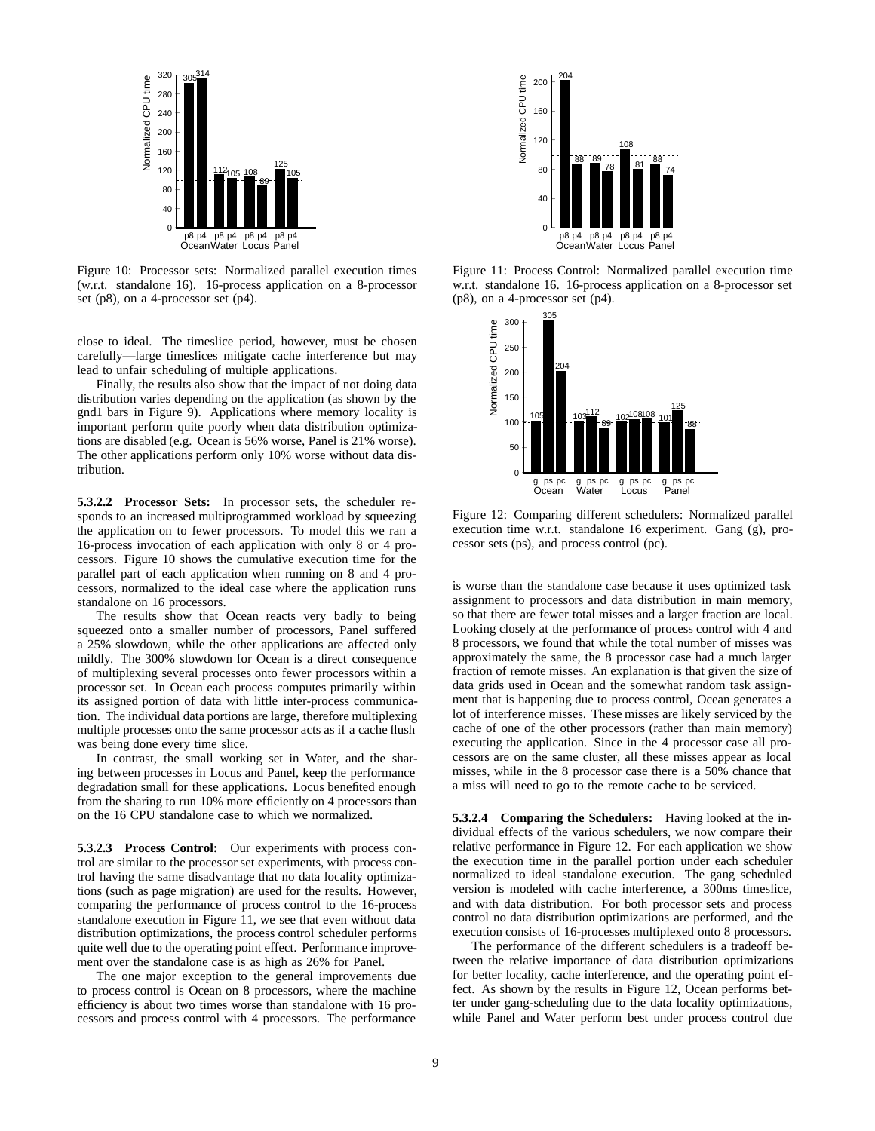

Figure 10: Processor sets: Normalized parallel execution times (w.r.t. standalone 16). 16-process application on a 8-processor set (p8), on a 4-processor set (p4).

close to ideal. The timeslice period, however, must be chosen carefully—large timeslices mitigate cache interference but may lead to unfair scheduling of multiple applications.

Finally, the results also show that the impact of not doing data distribution varies depending on the application (as shown by the gnd1 bars in Figure 9). Applications where memory locality is important perform quite poorly when data distribution optimizations are disabled (e.g. Ocean is 56% worse, Panel is 21% worse). The other applications perform only 10% worse without data distribution.

**5.3.2.2 Processor Sets:** In processor sets, the scheduler responds to an increased multiprogrammed workload by squeezing the application on to fewer processors. To model this we ran a 16-process invocation of each application with only 8 or 4 processors. Figure 10 shows the cumulative execution time for the parallel part of each application when running on 8 and 4 processors, normalized to the ideal case where the application runs standalone on 16 processors.

The results show that Ocean reacts very badly to being squeezed onto a smaller number of processors, Panel suffered a 25% slowdown, while the other applications are affected only mildly. The 300% slowdown for Ocean is a direct consequence of multiplexing several processes onto fewer processors within a processor set. In Ocean each process computes primarily within its assigned portion of data with little inter-process communication. The individual data portions are large, therefore multiplexing multiple processes onto the same processor acts as if a cache flush was being done every time slice.

In contrast, the small working set in Water, and the sharing between processes in Locus and Panel, keep the performance degradation small for these applications. Locus benefited enough from the sharing to run 10% more efficiently on 4 processors than on the 16 CPU standalone case to which we normalized.

**5.3.2.3 Process Control:** Our experiments with process control are similar to the processor set experiments, with process control having the same disadvantage that no data locality optimizations (such as page migration) are used for the results. However, comparing the performance of process control to the 16-process standalone execution in Figure 11, we see that even without data distribution optimizations, the process control scheduler performs quite well due to the operating point effect. Performance improvement over the standalone case is as high as 26% for Panel.

The one major exception to the general improvements due to process control is Ocean on 8 processors, where the machine efficiency is about two times worse than standalone with 16 processors and process control with 4 processors. The performance



Figure 11: Process Control: Normalized parallel execution time w.r.t. standalone 16. 16-process application on a 8-processor set (p8), on a 4-processor set (p4).



Figure 12: Comparing different schedulers: Normalized parallel execution time w.r.t. standalone 16 experiment. Gang (g), processor sets (ps), and process control (pc).

is worse than the standalone case because it uses optimized task assignment to processors and data distribution in main memory, so that there are fewer total misses and a larger fraction are local. Looking closely at the performance of process control with 4 and 8 processors, we found that while the total number of misses was approximately the same, the 8 processor case had a much larger fraction of remote misses. An explanation is that given the size of data grids used in Ocean and the somewhat random task assignment that is happening due to process control, Ocean generates a lot of interference misses. These misses are likely serviced by the cache of one of the other processors (rather than main memory) executing the application. Since in the 4 processor case all processors are on the same cluster, all these misses appear as local misses, while in the 8 processor case there is a 50% chance that a miss will need to go to the remote cache to be serviced.

**5.3.2.4 Comparing the Schedulers:** Having looked at the individual effects of the various schedulers, we now compare their relative performance in Figure 12. For each application we show the execution time in the parallel portion under each scheduler normalized to ideal standalone execution. The gang scheduled version is modeled with cache interference, a 300ms timeslice, and with data distribution. For both processor sets and process control no data distribution optimizations are performed, and the execution consists of 16-processes multiplexed onto 8 processors.

The performance of the different schedulers is a tradeoff between the relative importance of data distribution optimizations for better locality, cache interference, and the operating point effect. As shown by the results in Figure 12, Ocean performs better under gang-scheduling due to the data locality optimizations, while Panel and Water perform best under process control due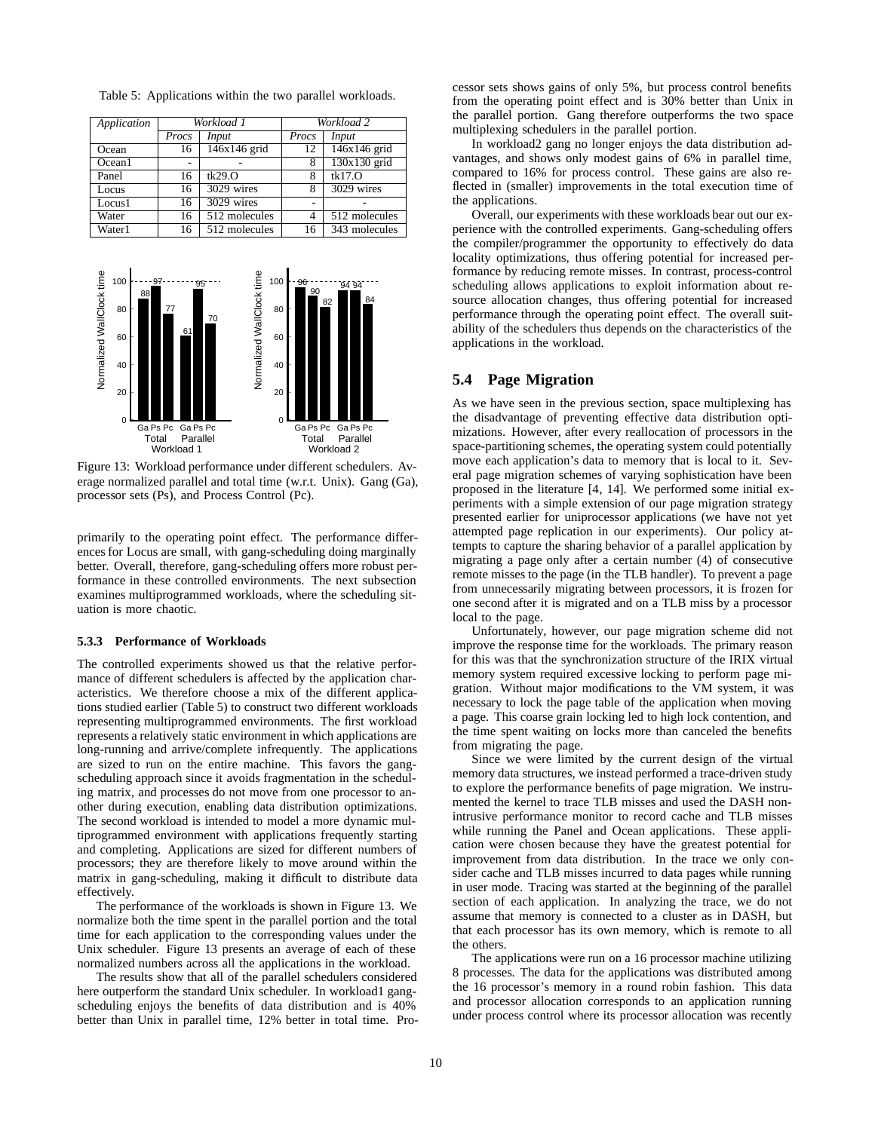| Application |       | Workload 1    | Workload 2 |                 |  |
|-------------|-------|---------------|------------|-----------------|--|
|             | Procs | Input         | Procs      | Input           |  |
| Ocean       | 16    | 146x146 grid  | 12         | 146x146 grid    |  |
| Ocean1      |       |               | 8          | 130x130 grid    |  |
| Panel       | 16    | tk29.0        | 8          | tk17.0          |  |
| Locus       | 16    | 3029 wires    | 8          | 3029 wires      |  |
| Locus1      | 16    | 3029 wires    |            |                 |  |
| Water       | 16    | 512 molecules | 4          | $512$ molecules |  |
| Water1      | 16    | 512 molecules | 16         | 343 molecules   |  |

Table 5: Applications within the two parallel workloads.



Figure 13: Workload performance under different schedulers. Average normalized parallel and total time (w.r.t. Unix). Gang (Ga), processor sets (Ps), and Process Control (Pc).

primarily to the operating point effect. The performance differences for Locus are small, with gang-scheduling doing marginally better. Overall, therefore, gang-scheduling offers more robust performance in these controlled environments. The next subsection examines multiprogrammed workloads, where the scheduling situation is more chaotic.

#### **5.3.3 Performance of Workloads**

The controlled experiments showed us that the relative performance of different schedulers is affected by the application characteristics. We therefore choose a mix of the different applications studied earlier (Table 5) to construct two different workloads representing multiprogrammed environments. The first workload represents a relatively static environment in which applications are long-running and arrive/complete infrequently. The applications are sized to run on the entire machine. This favors the gangscheduling approach since it avoids fragmentation in the scheduling matrix, and processes do not move from one processor to another during execution, enabling data distribution optimizations. The second workload is intended to model a more dynamic multiprogrammed environment with applications frequently starting and completing. Applications are sized for different numbers of processors; they are therefore likely to move around within the matrix in gang-scheduling, making it difficult to distribute data effectively.

The performance of the workloads is shown in Figure 13. We normalize both the time spent in the parallel portion and the total time for each application to the corresponding values under the Unix scheduler. Figure 13 presents an average of each of these normalized numbers across all the applications in the workload.

The results show that all of the parallel schedulers considered here outperform the standard Unix scheduler. In workload1 gangscheduling enjoys the benefits of data distribution and is 40% better than Unix in parallel time, 12% better in total time. Processor sets shows gains of only 5%, but process control benefits from the operating point effect and is 30% better than Unix in the parallel portion. Gang therefore outperforms the two space multiplexing schedulers in the parallel portion.

In workload2 gang no longer enjoys the data distribution advantages, and shows only modest gains of 6% in parallel time, compared to 16% for process control. These gains are also reflected in (smaller) improvements in the total execution time of the applications.

Overall, our experiments with these workloads bear out our experience with the controlled experiments. Gang-scheduling offers the compiler/programmer the opportunity to effectively do data locality optimizations, thus offering potential for increased performance by reducing remote misses. In contrast, process-control scheduling allows applications to exploit information about resource allocation changes, thus offering potential for increased performance through the operating point effect. The overall suitability of the schedulers thus depends on the characteristics of the applications in the workload.

### **5.4 Page Migration**

As we have seen in the previous section, space multiplexing has the disadvantage of preventing effective data distribution optimizations. However, after every reallocation of processors in the space-partitioning schemes, the operating system could potentially move each application's data to memory that is local to it. Several page migration schemes of varying sophistication have been proposed in the literature [4, 14]. We performed some initial experiments with a simple extension of our page migration strategy presented earlier for uniprocessor applications (we have not yet attempted page replication in our experiments). Our policy attempts to capture the sharing behavior of a parallel application by migrating a page only after a certain number (4) of consecutive remote misses to the page (in the TLB handler). To prevent a page from unnecessarily migrating between processors, it is frozen for one second after it is migrated and on a TLB miss by a processor local to the page.

Unfortunately, however, our page migration scheme did not improve the response time for the workloads. The primary reason for this was that the synchronization structure of the IRIX virtual memory system required excessive locking to perform page migration. Without major modifications to the VM system, it was necessary to lock the page table of the application when moving a page. This coarse grain locking led to high lock contention, and the time spent waiting on locks more than canceled the benefits from migrating the page.

Since we were limited by the current design of the virtual memory data structures, we instead performed a trace-driven study to explore the performance benefits of page migration. We instrumented the kernel to trace TLB misses and used the DASH nonintrusive performance monitor to record cache and TLB misses while running the Panel and Ocean applications. These application were chosen because they have the greatest potential for improvement from data distribution. In the trace we only consider cache and TLB misses incurred to data pages while running in user mode. Tracing was started at the beginning of the parallel section of each application. In analyzing the trace, we do not assume that memory is connected to a cluster as in DASH, but that each processor has its own memory, which is remote to all the others.

The applications were run on a 16 processor machine utilizing 8 processes. The data for the applications was distributed among the 16 processor's memory in a round robin fashion. This data and processor allocation corresponds to an application running under process control where its processor allocation was recently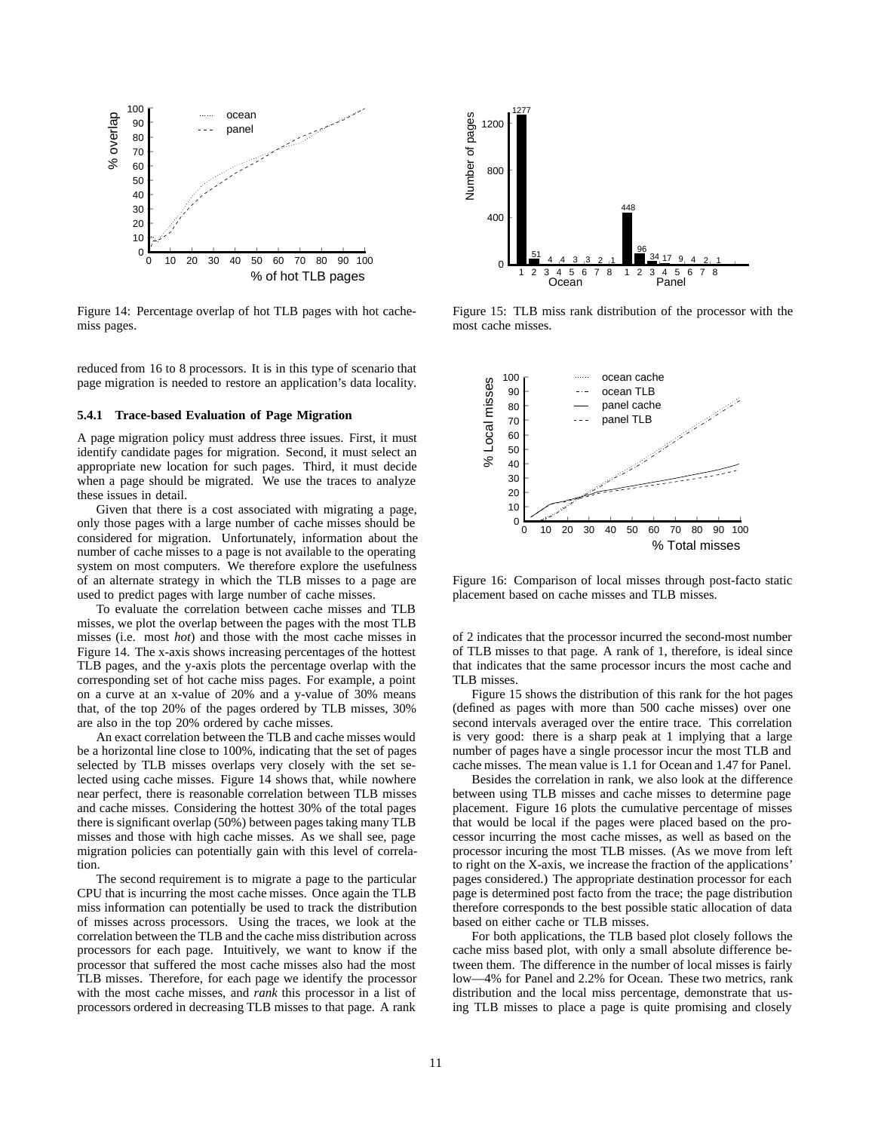

Figure 14: Percentage overlap of hot TLB pages with hot cachemiss pages.

reduced from 16 to 8 processors. It is in this type of scenario that page migration is needed to restore an application's data locality.

### **5.4.1 Trace-based Evaluation of Page Migration**

A page migration policy must address three issues. First, it must identify candidate pages for migration. Second, it must select an appropriate new location for such pages. Third, it must decide when a page should be migrated. We use the traces to analyze these issues in detail.

Given that there is a cost associated with migrating a page, only those pages with a large number of cache misses should be considered for migration. Unfortunately, information about the number of cache misses to a page is not available to the operating system on most computers. We therefore explore the usefulness of an alternate strategy in which the TLB misses to a page are used to predict pages with large number of cache misses.

To evaluate the correlation between cache misses and TLB misses, we plot the overlap between the pages with the most TLB misses (i.e. most *hot*) and those with the most cache misses in Figure 14. The x-axis shows increasing percentages of the hottest TLB pages, and the y-axis plots the percentage overlap with the corresponding set of hot cache miss pages. For example, a point on a curve at an x-value of 20% and a y-value of 30% means that, of the top 20% of the pages ordered by TLB misses, 30% are also in the top 20% ordered by cache misses.

An exact correlation between the TLB and cache misses would be a horizontal line close to 100%, indicating that the set of pages selected by TLB misses overlaps very closely with the set selected using cache misses. Figure 14 shows that, while nowhere near perfect, there is reasonable correlation between TLB misses and cache misses. Considering the hottest 30% of the total pages there is significant overlap (50%) between pages taking many TLB misses and those with high cache misses. As we shall see, page migration policies can potentially gain with this level of correlation.

The second requirement is to migrate a page to the particular CPU that is incurring the most cache misses. Once again the TLB miss information can potentially be used to track the distribution of misses across processors. Using the traces, we look at the correlation between the TLB and the cache miss distribution across processors for each page. Intuitively, we want to know if the processor that suffered the most cache misses also had the most TLB misses. Therefore, for each page we identify the processor with the most cache misses, and *rank* this processor in a list of processors ordered in decreasing TLB misses to that page. A rank

![](_page_10_Figure_9.jpeg)

Figure 15: TLB miss rank distribution of the processor with the most cache misses.

![](_page_10_Figure_11.jpeg)

Figure 16: Comparison of local misses through post-facto static placement based on cache misses and TLB misses.

of 2 indicates that the processor incurred the second-most number of TLB misses to that page. A rank of 1, therefore, is ideal since that indicates that the same processor incurs the most cache and TLB misses.

Figure 15 shows the distribution of this rank for the hot pages (defined as pages with more than 500 cache misses) over one second intervals averaged over the entire trace. This correlation is very good: there is a sharp peak at 1 implying that a large number of pages have a single processor incur the most TLB and cache misses. The mean value is 1.1 for Ocean and 1.47 for Panel.

Besides the correlation in rank, we also look at the difference between using TLB misses and cache misses to determine page placement. Figure 16 plots the cumulative percentage of misses that would be local if the pages were placed based on the processor incurring the most cache misses, as well as based on the processor incuring the most TLB misses. (As we move from left to right on the X-axis, we increase the fraction of the applications' pages considered.) The appropriate destination processor for each page is determined post facto from the trace; the page distribution therefore corresponds to the best possible static allocation of data based on either cache or TLB misses.

For both applications, the TLB based plot closely follows the cache miss based plot, with only a small absolute difference between them. The difference in the number of local misses is fairly low—4% for Panel and 2.2% for Ocean. These two metrics, rank distribution and the local miss percentage, demonstrate that using TLB misses to place a page is quite promising and closely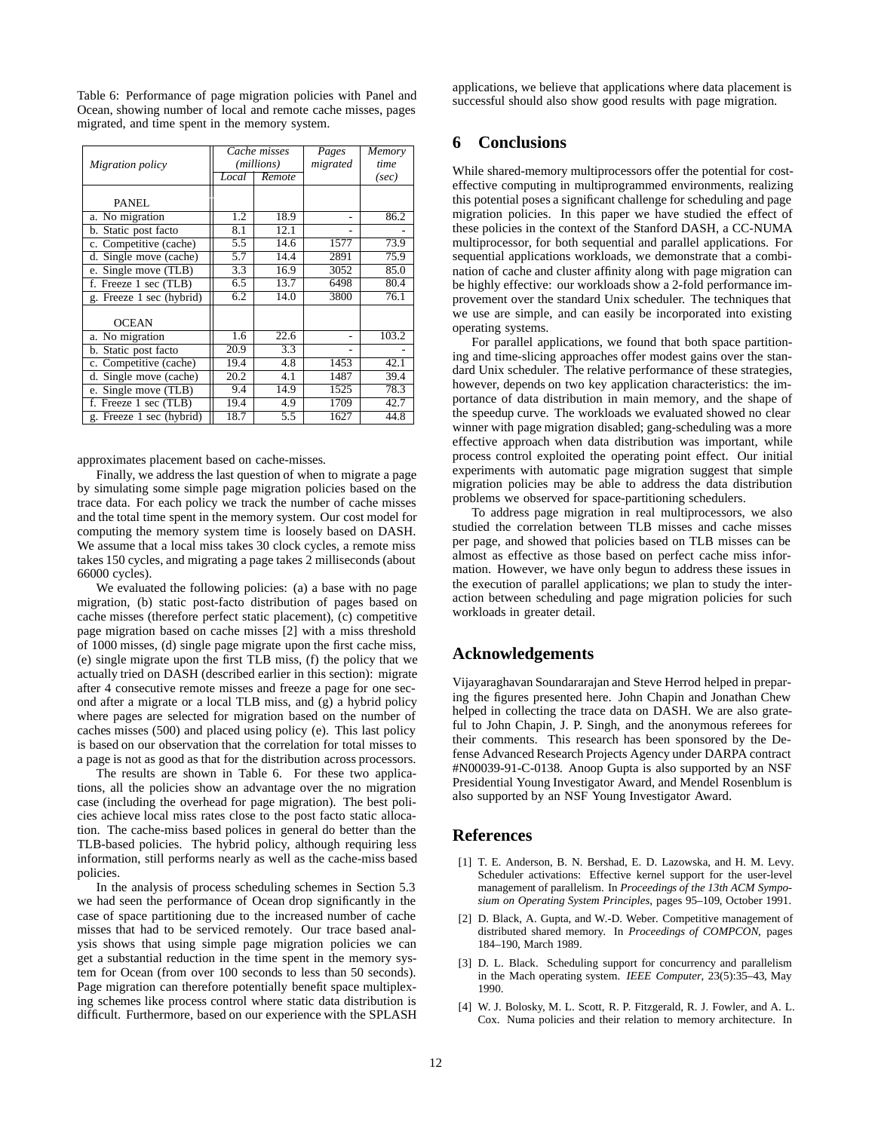Table 6: Performance of page migration policies with Panel and Ocean, showing number of local and remote cache misses, pages migrated, and time spent in the memory system.

|                          |                  | Cache misses | Pages    | Memory |
|--------------------------|------------------|--------------|----------|--------|
| <i>Migration policy</i>  |                  | (millions)   | migrated | time   |
|                          | Local            | Remote       |          | (sec)  |
| <b>PANEL</b>             |                  |              |          |        |
| a. No migration          | 1.2              | 18.9         |          | 86.2   |
| b. Static post facto     | $\overline{8.1}$ | 12.1         |          |        |
| c. Competitive (cache)   | 5.5              | 14.6         | 1577     | 73.9   |
| d. Single move (cache)   | 5.7              | 14.4         | 2891     | 75.9   |
| e. Single move (TLB)     | 3.3              | 16.9         | 3052     | 85.0   |
| f. Freeze 1 sec (TLB)    | 6.5              | 13.7         | 6498     | 80.4   |
| g. Freeze 1 sec (hybrid) | 6.2              | 14.0         | 3800     | 76.1   |
| <b>OCEAN</b>             |                  |              |          |        |
| a. No migration          | 1.6              | 22.6         |          | 103.2  |
| b. Static post facto     | 20.9             | 3.3          |          |        |
| c. Competitive (cache)   | 19.4             | 4.8          | 1453     | 42.1   |
| d. Single move (cache)   | 20.2             | 4.1          | 1487     | 39.4   |
| e. Single move (TLB)     | 9.4              | 14.9         | 1525     | 78.3   |
| f. Freeze 1 sec (TLB)    | 19.4             | 4.9          | 1709     | 42.7   |
| g. Freeze 1 sec (hybrid) | 18.7             | 5.5          | 1627     | 44.8   |

approximates placement based on cache-misses.

Finally, we address the last question of when to migrate a page by simulating some simple page migration policies based on the trace data. For each policy we track the number of cache misses and the total time spent in the memory system. Our cost model for computing the memory system time is loosely based on DASH. We assume that a local miss takes 30 clock cycles, a remote miss takes 150 cycles, and migrating a page takes 2 milliseconds (about 66000 cycles).

We evaluated the following policies: (a) a base with no page migration, (b) static post-facto distribution of pages based on cache misses (therefore perfect static placement), (c) competitive page migration based on cache misses [2] with a miss threshold of 1000 misses, (d) single page migrate upon the first cache miss, (e) single migrate upon the first TLB miss, (f) the policy that we actually tried on DASH (described earlier in this section): migrate after 4 consecutive remote misses and freeze a page for one second after a migrate or a local TLB miss, and (g) a hybrid policy where pages are selected for migration based on the number of caches misses (500) and placed using policy (e). This last policy is based on our observation that the correlation for total misses to a page is not as good as that for the distribution across processors.

The results are shown in Table 6. For these two applications, all the policies show an advantage over the no migration case (including the overhead for page migration). The best policies achieve local miss rates close to the post facto static allocation. The cache-miss based polices in general do better than the TLB-based policies. The hybrid policy, although requiring less information, still performs nearly as well as the cache-miss based policies.

In the analysis of process scheduling schemes in Section 5.3 we had seen the performance of Ocean drop significantly in the case of space partitioning due to the increased number of cache misses that had to be serviced remotely. Our trace based analysis shows that using simple page migration policies we can get a substantial reduction in the time spent in the memory system for Ocean (from over 100 seconds to less than 50 seconds). Page migration can therefore potentially benefit space multiplexing schemes like process control where static data distribution is difficult. Furthermore, based on our experience with the SPLASH

applications, we believe that applications where data placement is successful should also show good results with page migration.

# **6 Conclusions**

While shared-memory multiprocessors offer the potential for costeffective computing in multiprogrammed environments, realizing this potential poses a significant challenge for scheduling and page migration policies. In this paper we have studied the effect of these policies in the context of the Stanford DASH, a CC-NUMA multiprocessor, for both sequential and parallel applications. For sequential applications workloads, we demonstrate that a combination of cache and cluster affinity along with page migration can be highly effective: our workloads show a 2-fold performance improvement over the standard Unix scheduler. The techniques that we use are simple, and can easily be incorporated into existing operating systems.

For parallel applications, we found that both space partitioning and time-slicing approaches offer modest gains over the standard Unix scheduler. The relative performance of these strategies, however, depends on two key application characteristics: the importance of data distribution in main memory, and the shape of the speedup curve. The workloads we evaluated showed no clear winner with page migration disabled; gang-scheduling was a more effective approach when data distribution was important, while process control exploited the operating point effect. Our initial experiments with automatic page migration suggest that simple migration policies may be able to address the data distribution problems we observed for space-partitioning schedulers.

To address page migration in real multiprocessors, we also studied the correlation between TLB misses and cache misses per page, and showed that policies based on TLB misses can be almost as effective as those based on perfect cache miss information. However, we have only begun to address these issues in the execution of parallel applications; we plan to study the interaction between scheduling and page migration policies for such workloads in greater detail.

# **Acknowledgements**

Vijayaraghavan Soundararajan and Steve Herrod helped in preparing the figures presented here. John Chapin and Jonathan Chew helped in collecting the trace data on DASH. We are also grateful to John Chapin, J. P. Singh, and the anonymous referees for their comments. This research has been sponsored by the Defense Advanced Research Projects Agency under DARPA contract #N00039-91-C-0138. Anoop Gupta is also supported by an NSF Presidential Young Investigator Award, and Mendel Rosenblum is also supported by an NSF Young Investigator Award.

### **References**

- [1] T. E. Anderson, B. N. Bershad, E. D. Lazowska, and H. M. Levy. Scheduler activations: Effective kernel support for the user-level management of parallelism. In *Proceedings of the 13th ACM Symposium on Operating System Principles*, pages 95–109, October 1991.
- [2] D. Black, A. Gupta, and W.-D. Weber. Competitive management of distributed shared memory. In *Proceedings of COMPCON*, pages 184–190, March 1989.
- [3] D. L. Black. Scheduling support for concurrency and parallelism in the Mach operating system. *IEEE Computer*, 23(5):35–43, May 1990.
- [4] W. J. Bolosky, M. L. Scott, R. P. Fitzgerald, R. J. Fowler, and A. L. Cox. Numa policies and their relation to memory architecture. In